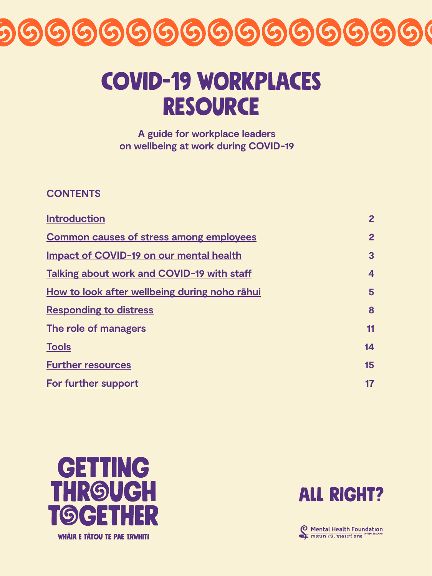## covid-19 workplaces RESOURCE

**A guide for workplace leaders on wellbeing at work during COVID-19**



| Introduction                                   | $\mathbf{2}$ |
|------------------------------------------------|--------------|
| <b>Common causes of stress among employees</b> | $\mathbf{2}$ |
| Impact of COVID-19 on our mental health        | 3            |
| Talking about work and COVID-19 with staff     | 4            |
| How to look after wellbeing during noho rāhui  | 5            |
| Responding to distress                         | 8            |
| The role of managers                           |              |
| <b>Tools</b>                                   | 14           |
| <b>Further resources</b>                       | 15           |

**[For further support](#page-16-0) 17**



WHÂIA E TÂTOU TE PAE TAWHITI

## ALL RIGHT?

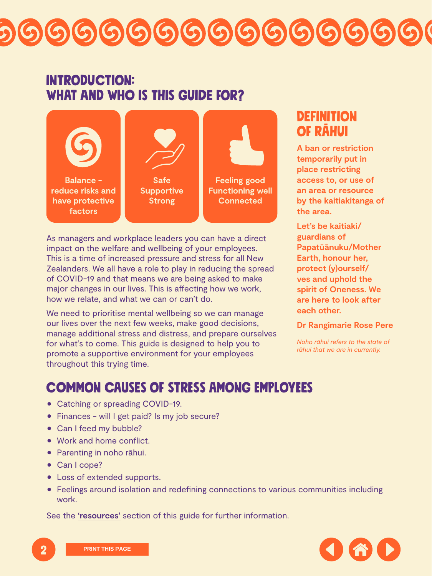## <span id="page-1-0"></span>Introduction: WHAT AND WHO IS THIS GUIDE FOR?

As managers and workplace leaders you can have a direct impact on the welfare and wellbeing of your employees. This is a time of increased pressure and stress for all New Zealanders. We all have a role to play in reducing the spread of COVID-19 and that means we are being asked to make major changes in our lives. This is affecting how we work, how we relate, and what we can or can't do.

We need to prioritise mental wellbeing so we can manage our lives over the next few weeks, make good decisions, manage additional stress and distress, and prepare ourselves for what's to come. This guide is designed to help you to promote a supportive environment for your employees throughout this trying time.

**reduce risks and have protective factors**

- Catching or spreading COVID-19.
- Finances will I get paid? Is my job secure?
- Can I feed my bubble?
- Work and home conflict.
- **Parenting in noho rāhui.**
- Can I cope?
- Loss of extended supports.
- Feelings around isolation and redefining connections to various communities including work.

## Definition of rāhui





**A ban or restriction temporarily put in place restricting access to, or use of an area or resource by the kaitiakitanga of the area.** 

**Let's be kaitiaki/ guardians of Papatūānuku/Mother Earth, honour her, protect (y)ourself/ ves and uphold the spirit of Oneness. We are here to look after each other.** 

**Dr Rangimarie Rose Pere**

*Noho rāhui refers to the state of rāhui that we are in currently.*



## Common causes of stress among employees

See the **['resources'](#page-14-0)** section of this guide for further information.

**Supportive Strong**

**Functioning well Connected**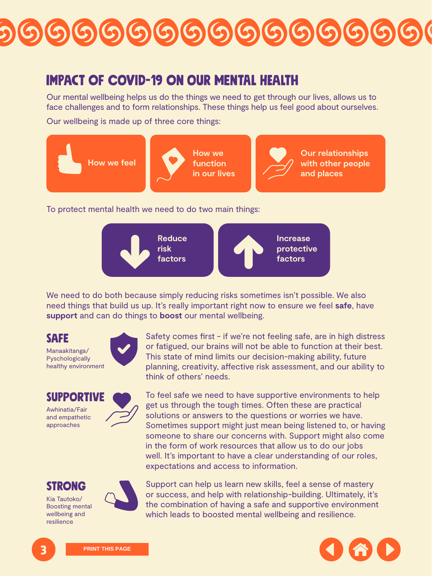## <span id="page-2-0"></span>Impact of COVID-19 on our mental health

Our mental wellbeing helps us do the things we need to get through our lives, allows us to face challenges and to form relationships. These things help us feel good about ourselves.

Our wellbeing is made up of three core things:

#### To protect mental health we need to do two main things:



We need to do both because simply reducing risks sometimes isn't possible. We also need things that build us up. It's really important right now to ensure we feel **safe**, have **support** and can do things to **boost** our mental wellbeing.



Safety comes first - if we're not feeling safe, are in high distress or fatigued, our brains will not be able to function at their best. This state of mind limits our decision-making ability, future planning, creativity, affective risk assessment, and our ability to think of others' needs.

## **SUPPORT**







Manaakitanga/ **Pyschologically** healthy environment



Awhinatia/Fair and empathetic approaches





Kia Tautoko/ Boosting mental wellbeing and resilience



To feel safe we need to have supportive environments to help get us through the tough times. Often these are practical solutions or answers to the questions or worries we have. Sometimes support might just mean being listened to, or having someone to share our concerns with. Support might also come in the form of work resources that allow us to do our jobs well. It's important to have a clear understanding of our roles, expectations and access to information.

Support can help us learn new skills, feel a sense of mastery or success, and help with relationship-building. Ultimately, it's the combination of having a safe and supportive environment which leads to boosted mental wellbeing and resilience.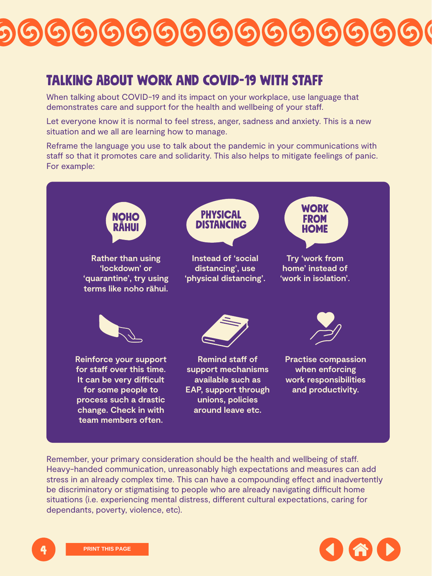## <span id="page-3-0"></span>Talking about work and COVID-19 with staff

When talking about COVID-19 and its impact on your workplace, use language that demonstrates care and support for the health and wellbeing of your staff.

Let everyone know it is normal to feel stress, anger, sadness and anxiety. This is a new situation and we all are learning how to manage.

Reframe the language you use to talk about the pandemic in your communications with staff so that it promotes care and solidarity. This also helps to mitigate feelings of panic. For example:











Remember, your primary consideration should be the health and wellbeing of staff. Heavy-handed communication, unreasonably high expectations and measures can add stress in an already complex time. This can have a compounding effect and inadvertently be discriminatory or stigmatising to people who are already navigating difficult home situations (i.e. experiencing mental distress, different cultural expectations, caring for dependants, poverty, violence, etc).

**Rather than using 'lockdown' or 'quarantine', try using terms like [noho rāhui.](https://maoridictionary.co.nz/word/6420)**

**Instead of 'social distancing', use 'physical distancing'.**

**Try 'work from home' instead of 'work in isolation'.**







**Reinforce your support for staff over this time. It can be very difficult for some people to process such a drastic change. Check in with team members often.**

**Remind staff of support mechanisms available such as EAP, support through unions, policies around leave etc.**

**Practise compassion when enforcing work responsibilities and productivity.**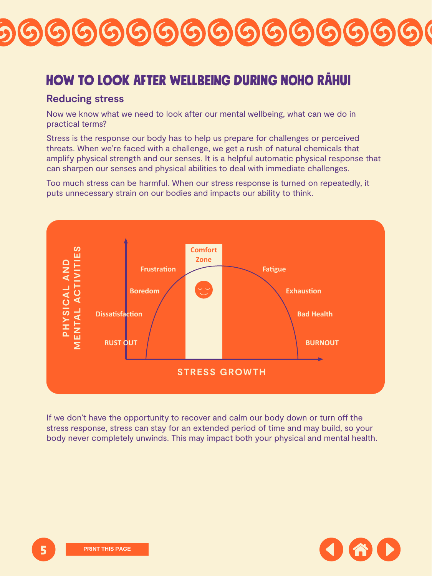## <span id="page-4-0"></span>How to look after wellbeing during Noho rāhui

### **Reducing stress**

Now we know what we need to look after our mental wellbeing, what can we do in practical terms?

Stress is the response our body has to help us prepare for challenges or perceived threats. When we're faced with a challenge, we get a rush of natural chemicals that amplify physical strength and our senses. It is a helpful automatic physical response that can sharpen our senses and physical abilities to deal with immediate challenges.





Too much stress can be harmful. When our stress response is turned on repeatedly, it

puts unnecessary strain on our bodies and impacts our ability to think.

If we don't have the opportunity to recover and calm our body down or turn off the stress response, stress can stay for an extended period of time and may build, so your body never completely unwinds. This may impact both your physical and mental health.

#### **STRESS GROWTH**

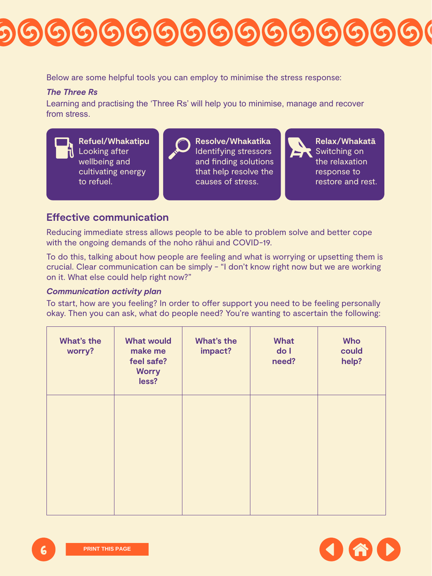### **Effective communication**

Reducing immediate stress allows people to be able to problem solve and better cope with the ongoing demands of the noho rāhui and COVID-19.

To do this, talking about how people are feeling and what is worrying or upsetting them is crucial. Clear communication can be simply - "I don't know right now but we are working on it. What else could help right now?"

#### *Communication activity plan*

To start, how are you feeling? In order to offer support you need to be feeling personally okay. Then you can ask, what do people need? You're wanting to ascertain the following:





| <b>What's the</b><br>worry? | <b>What would</b><br>make me<br>feel safe?<br>Worry<br>less? | <b>What's the</b><br>impact? | <b>What</b><br>do I<br>need? | <b>Who</b><br>could<br>help? |
|-----------------------------|--------------------------------------------------------------|------------------------------|------------------------------|------------------------------|
|                             |                                                              |                              |                              |                              |
|                             |                                                              |                              |                              |                              |

**Refuel/Whakatipu** Looking after wellbeing and cultivating energy to refuel.



**Resolve/Whakatika** Identifying stressors and finding solutions that help resolve the causes of stress.



**Relax/Whakatā** Switching on the relaxation response to restore and rest.

# 9999999999999999

Below are some helpful tools you can employ to minimise the stress response:

#### *The Three Rs*

Learning and practising the 'Three Rs' will help you to minimise, manage and recover from stress.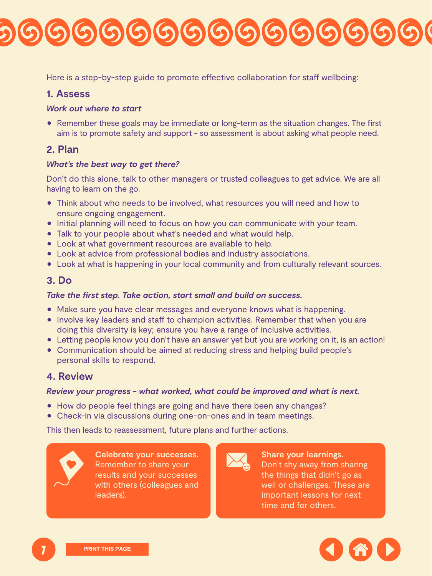Here is a step-by-step guide to promote effective collaboration for staff wellbeing:

### **1. Assess**

#### *Work out where to start*

• Remember these goals may be immediate or long-term as the situation changes. The first aim is to promote safety and support - so assessment is about asking what people need.

### **2. Plan**

#### *What's the best way to get there?*

Don't do this alone, talk to other managers or trusted colleagues to get advice. We are all having to learn on the go.

- Think about who needs to be involved, what resources you will need and how to ensure ongoing engagement.
- Initial planning will need to focus on how you can communicate with your team.
- Talk to your people about what's needed and what would help.
- Look at what government resources are available to help.
- Look at advice from professional bodies and industry associations.
- Look at what is happening in your local community and from culturally relevant sources.

- Make sure you have clear messages and everyone knows what is happening.
- Involve key leaders and staff to champion activities. Remember that when you are doing this diversity is key; ensure you have a range of inclusive activities.
- Letting people know you don't have an answer yet but you are working on it, is an action!
- Communication should be aimed at reducing stress and helping build people's personal skills to respond.

## **3. Do**

### *Take the first step. Take action, start small and build on success.*





### **4. Review**

#### *Review your progress - what worked, what could be improved and what is next.*

- How do people feel things are going and have there been any changes?
- Check-in via discussions during one-on-ones and in team meetings.

This then leads to reassessment, future plans and further actions.



**Celebrate your successes.**  Remember to share your results and your successes with others (colleagues and leaders).



### **Share your learnings.**  Don't shy away from sharing the things that didn't go as well or challenges. These are important lessons for next time and for others.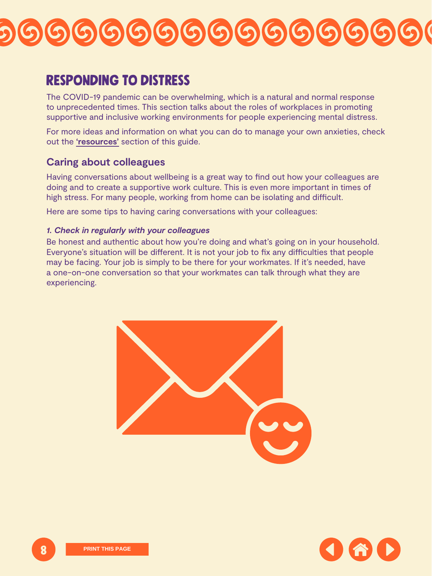## <span id="page-7-0"></span>Responding to distress

The COVID-19 pandemic can be overwhelming, which is a natural and normal response to unprecedented times. This section talks about the roles of workplaces in promoting supportive and inclusive working environments for people experiencing mental distress.

For more ideas and information on what you can do to manage your own anxieties, check out the **'[resources'](#page-13-0)** section of this guide.

### **Caring about colleagues**

Having conversations about wellbeing is a great way to find out how your colleagues are doing and to create a supportive work culture. This is even more important in times of high stress. For many people, working from home can be isolating and difficult.





Here are some tips to having caring conversations with your colleagues:

#### *1. Check in regularly with your colleagues*

Be honest and authentic about how you're doing and what's going on in your household. Everyone's situation will be different. It is not your job to fix any difficulties that people may be facing. Your job is simply to be there for your workmates. If it's needed, have a one-on-one conversation so that your workmates can talk through what they are experiencing.

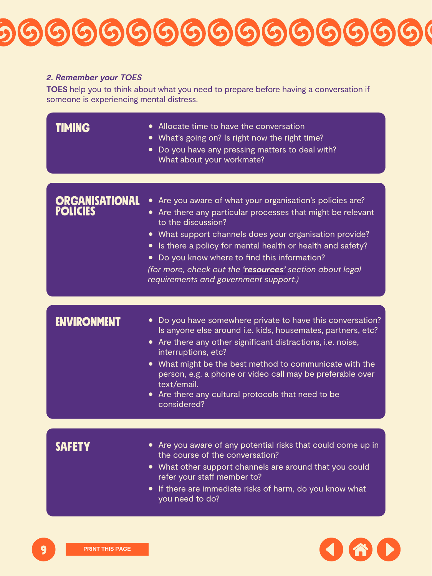- **TIMING** Allocate time to have the conversation
	- $\bullet$  What's going on? Is right now the right time?
	- Do you have any pressing matters to deal with? What about your workmate?

- Do you have somewhere private to have this conversation? Is anyone else around i.e. kids, housemates, partners, etc?
- Are there any other significant distractions, i.e. noise, interruptions, etc?
- What might be the best method to communicate with the person, e.g. a phone or video call may be preferable over
	- text/email.
- Are there any cultural protocols that need to be considered?

*(for more, check out the ['resources'](#page-14-0) section about legal requirements and government support.)*

## **ENVIRONMENT**

## Organisational policies

- Are you aware of what your organisation's policies are?
- Are there any particular processes that might be relevant to the discussion?
- What support channels does your organisation provide?
- $\bullet$  Is there a policy for mental health or health and safety?
- Do you know where to find this information?

- **SAFETY** Are you aware of any potential risks that could come up in the course of the conversation?
	- What other support channels are around that you could refer your staff member to?
	- If there are immediate risks of harm, do you know what you need to do?





## 9999999999999999

#### *2. Remember your TOES*

**TOES** help you to think about what you need to prepare before having a conversation if someone is experiencing mental distress.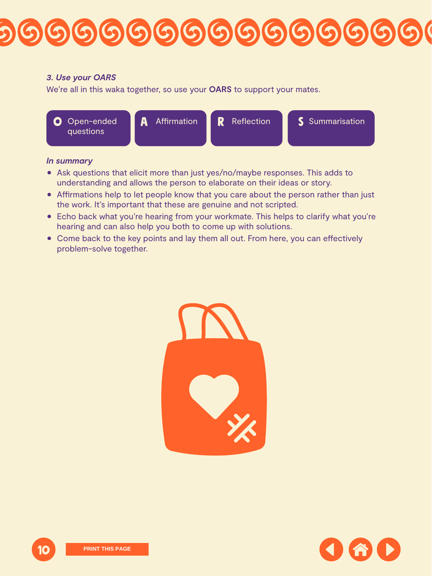#### *In summary*

- Ask questions that elicit more than just yes/no/maybe responses. This adds to understanding and allows the person to elaborate on their ideas or story.
- Affirmations help to let people know that you care about the person rather than just the work. It's important that these are genuine and not scripted.
- Echo back what you're hearing from your workmate. This helps to clarify what you're hearing and can also help you both to come up with solutions.
- Come back to the key points and lay them all out. From here, you can effectively problem-solve together.







# 99999999999999999

#### *3. Use your OARS*

We're all in this waka together, so use your **OARS** to support your mates.

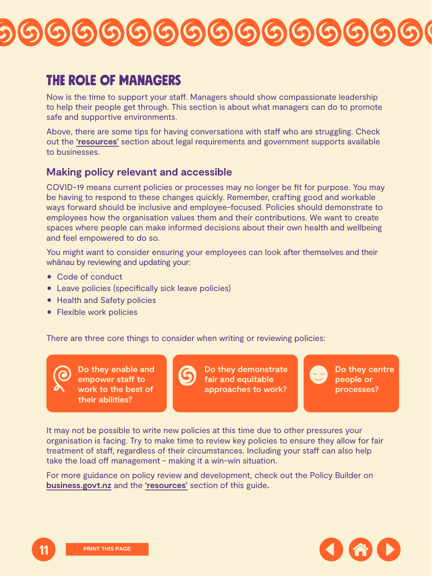## <span id="page-10-0"></span>THE ROLE OF MANAGERS

Now is the time to support your staff. Managers should show compassionate leadership to help their people get through. This section is about what managers can do to promote safe and supportive environments.

Above, there are some tips for having conversations with staff who are struggling. Check out the **'[resources'](#page-14-0)** section about legal requirements and government supports available to businesses.

## **Making policy relevant and accessible**

COVID-19 means current policies or processes may no longer be fit for purpose. You may be having to respond to these changes quickly. Remember, crafting good and workable ways forward should be inclusive and employee-focused. Policies should demonstrate to employees how the organisation values them and their contributions. We want to create spaces where people can make informed decisions about their own health and wellbeing and feel empowered to do so.





You might want to consider ensuring your employees can look after themselves and their whānau by reviewing and updating your:

- Code of conduct
- Leave policies (specifically sick leave policies)
- **Health and Safety policies**
- **Flexible work policies**

There are three core things to consider when writing or reviewing policies:

**Do they enable and** 





**Do they demonstrate fair and equitable approaches to work?**



It may not be possible to write new policies at this time due to other pressures your organisation is facing. Try to make time to review key policies to ensure they allow for fair treatment of staff, regardless of their circumstances. Including your staff can also help take the load off management - making it a win-win situation.

For more guidance on policy review and development, check out the [Policy Builder on](https://wpb.business.govt.nz/workplacepolicybuilder/startscreen/)  **[business.govt.nz](https://wpb.business.govt.nz/workplacepolicybuilder/startscreen/)** and the **'[resources'](#page-14-0)** section of this guide**.**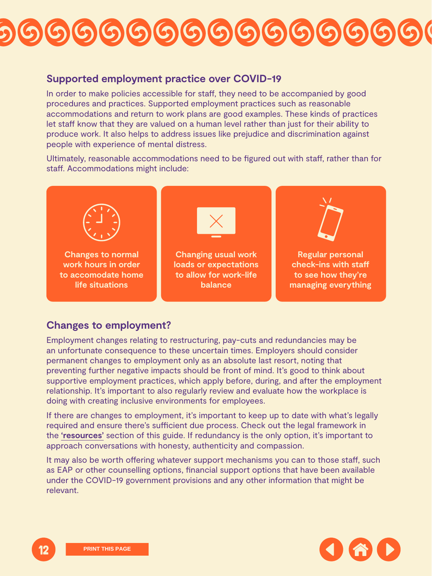### **Supported employment practice over COVID-19**

In order to make policies accessible for staff, they need to be accompanied by good procedures and practices. Supported employment practices such as reasonable accommodations and return to work plans are good examples. These kinds of practices let staff know that they are valued on a human level rather than just for their ability to produce work. It also helps to address issues like prejudice and discrimination against people with experience of mental distress.

Ultimately, reasonable accommodations need to be figured out with staff, rather than for staff. Accommodations might include:



**Changes to normal work hours in order to accomodate home life situations**



**Regular personal check-ins with staff to see how they're managing everything**

### **Changes to employment?**

If there are changes to employment, it's important to keep up to date with what's legally required and ensure there's sufficient due process. Check out the legal framework in the **['resources'](#page-14-0)** section of this guide. If redundancy is the only option, it's important to approach conversations with honesty, authenticity and compassion.

It may also be worth offering whatever support mechanisms you can to those staff, such as EAP or other counselling options, financial support options that have been available under the COVID-19 government provisions and any other information that might be relevant.





Employment changes relating to restructuring, pay-cuts and redundancies may be an unfortunate consequence to these uncertain times. Employers should consider permanent changes to employment only as an absolute last resort, noting that preventing further negative impacts should be front of mind. It's good to think about supportive employment practices, which apply before, during, and after the employment relationship. It's important to also regularly review and evaluate how the workplace is doing with creating inclusive environments for employees.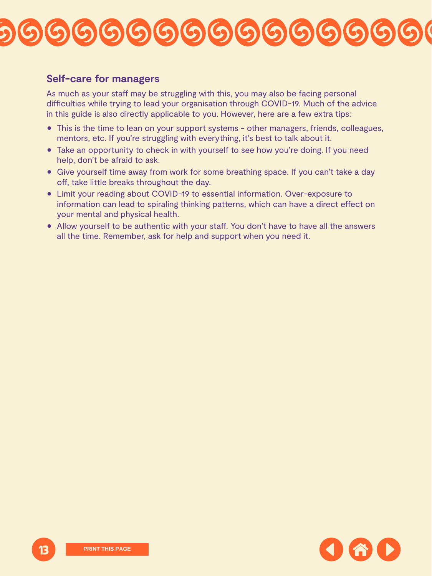### **Self-care for managers**

As much as your staff may be struggling with this, you may also be facing personal difficulties while trying to lead your organisation through COVID-19. Much of the advice in this guide is also directly applicable to you. However, here are a few extra tips:

- This is the time to lean on your support systems other managers, friends, colleagues, mentors, etc. If you're struggling with everything, it's best to talk about it.
- Take an opportunity to check in with yourself to see how you're doing. If you need help, don't be afraid to ask.
- Give yourself time away from work for some breathing space. If you can't take a day off, take little breaks throughout the day.
- Limit your reading about COVID-19 to essential information. Over-exposure to information can lead to spiraling thinking patterns, which can have a direct effect on your mental and physical health.
- Allow yourself to be authentic with your staff. You don't have to have all the answers all the time. Remember, ask for help and support when you need it.



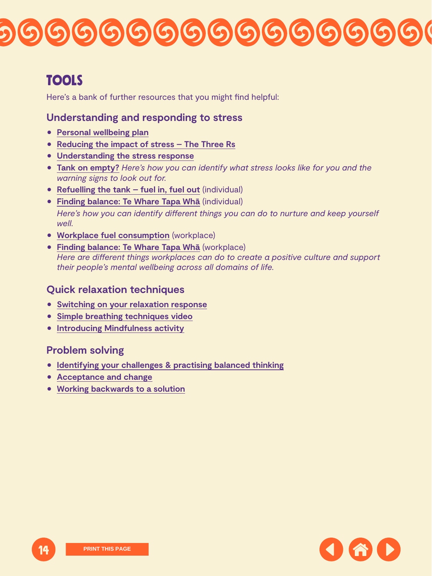## <span id="page-13-0"></span>Tools

Here's a bank of further resources that you might find helpful:

## **Understanding and responding to stress**

- **[Personal wellbeing plan](https://www.mentalhealth.org.nz/assets/Working-Well/FINAL-Personal-wellbeing-plan-WW.pdf)**
- **[Reducing the impact of stress The Three Rs](https://www.mentalhealth.org.nz/assets/Working-Well/FINAL-Personal-wellbeing-plan-WW.pdf)**
- 1 **[Understanding the stress response](https://www.mentalhealth.org.nz/assets/Working-Well/FS-understanding-stress-reponse.pdf)**
- 1 **[Tank on empty?](https://www.mentalhealth.org.nz/assets/Working-Well/WS-tank-on-empty.docx)** *Here's how you can identify what stress looks like for you and the warning signs to look out for.*
- [Refuelling the tank fuel in, fuel out](https://www.mentalhealth.org.nz/assets/Working-Well/WS-refuelling-individual.docx) [\(individual\)](https://www.mentalhealth.org.nz/assets/Working-Well/WS-refuelling-individual.docx)
- 1 **[Finding balance: Te Whare Tapa Whā](https://www.mentalhealth.org.nz/assets/Working-Well/WS-finding-balance-individual.docx)** [\(individual\)](https://www.mentalhealth.org.nz/assets/Working-Well/WS-finding-balance-individual.docx)

- 1 **[Switching on your relaxation response](https://www.mentalhealth.org.nz/assets/Working-Well/WS-switching-on.pdf)**
- 1 **[Simple breathing techniques video](https://youtu.be/BNdaynrpZrA)**
- **[Introducing Mindfulness activity](https://www.mentalhealth.org.nz/assets/5-ways-toolkit/FWW-introducing-mindfulness.pdf)**

*Here's how you can identify different things you can do to nurture and keep yourself well.*





- 1 **[Workplace fuel consumption](https://www.mentalhealth.org.nz/assets/Working-Well/WS-refuelling-workplace.docx)** [\(workplace\)](https://www.mentalhealth.org.nz/assets/Working-Well/WS-refuelling-workplace.docx)
- 1 **[Finding balance: Te Whare Tapa Whā](https://www.mentalhealth.org.nz/assets/Working-Well/WS-finding-balance-workplace.docx)** [\(workplace\)](https://www.mentalhealth.org.nz/assets/Working-Well/WS-finding-balance-workplace.docx)

*Here are different things workplaces can do to create a positive culture and support their people's mental wellbeing across all domains of life.*

## **Quick relaxation techniques**

## **[Problem solving](https://www.mentalhealth.org.nz/assets/Working-Well/WS-switching-on.pdf)**

- 1 **[Identifying your challenges & practising balanced thinking](https://www.mentalhealth.org.nz/assets/Working-Well/WS-identifying-challenges.docx)**
- **[Acceptance and change](https://www.mentalhealth.org.nz/assets/Working-Well/WS-acceptance.docx)**
- 1 **[Working backwards to a solution](https://www.mentalhealth.org.nz/assets/Working-Well/WS-working-backwards.docx)**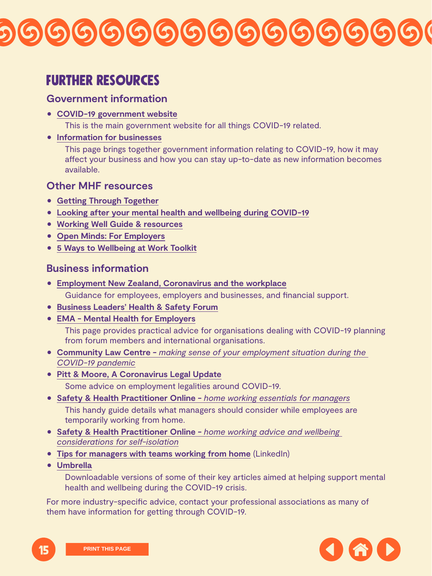## <span id="page-14-0"></span>Further resources

## **Government information**

1 **COVID-19 government [website](https://covid19.govt.nz/)**

This is the main government website for all things COVID-19 related.

**• [Information for businesses](https://www.business.govt.nz/covid-19)** 

This page brings together government information relating to COVID-19, how it may affect your business and how you can stay up-to-date as new information becomes available.

- **[Getting Through Together](https://www.mentalhealth.org.nz/get-help/covid-19/getting-through-together/)**
- 1 **[Looking after your mental health and wellbeing during COVID-19](https://www.mentalhealth.org.nz/get-help/covid-19/)**
- 1 **[Working Well Guide & resources](https://www.mentalhealth.org.nz/home/our-work/category/44/working-well-guide-and-resources)**
- 1 **[Open Minds: For Employers](https://www.mentalhealth.org.nz/home/our-work/category/40/open-minds-for-employers)**
- 1 **[5 Ways to Wellbeing at Work Toolkit](https://www.mentalhealth.org.nz/home/our-work/category/42/five-ways-to-wellbeing-at-work-toolkit)**

### **Other MHF resources**

## **Business information**

1 **[Employment New Zealand, Coronavirus and the workplace](https://www.employment.govt.nz/leave-and-holidays/other-types-of-leave/coronavirus-workplace/)**

- 1 **[Safety & Health Practitioner Online](https://www.shponline.co.uk/lone-working/home-working/)** *[home working advice and wellbeing](https://www.shponline.co.uk/lone-working/home-working/)  [considerations for self-isolation](https://www.shponline.co.uk/lone-working/home-working/)*
- 1 **[Tips for managers with teams working from home](https://www.linkedin.com/posts/fionamichel_tips-for-managers-with-teams-working-from-ugcPost-6647292448102064128-kKWG)** (LinkedIn)
- **[Umbrella](https://umbrella.org.nz/downloadable-resources/)**

Guidance for employees, employers and businesses, and financial support.

- 1 **[Business Leaders' Health & Safety Forum](https://www.zeroharm.org.nz/news/advice-to-organisations-on-covid-19/)**
- 1 **[EMA Mental Health for Employers](https://covid19.ema.co.nz/webinar/)**

This page provides practical advice for organisations dealing with COVID-19 planning from forum members and international organisations.





- 1 **[Community Law Centre](https://communitylaw.org.nz/wp-content/uploads/2019/07/Employment-flowchart-2-April-2020-v1.pdf?fbclid=IwAR14_b1zM--tSyJ4RjfRuDBUF2xWeLOSb_uhvcZ3tNFBxZCmevZ7c7nqaII)** *[making sense of your employment situation during the](https://communitylaw.org.nz/wp-content/uploads/2019/07/Employment-flowchart-2-April-2020-v1.pdf?fbclid=IwAR14_b1zM--tSyJ4RjfRuDBUF2xWeLOSb_uhvcZ3tNFBxZCmevZ7c7nqaII)  [COVID-19 pandemic](https://communitylaw.org.nz/wp-content/uploads/2019/07/Employment-flowchart-2-April-2020-v1.pdf?fbclid=IwAR14_b1zM--tSyJ4RjfRuDBUF2xWeLOSb_uhvcZ3tNFBxZCmevZ7c7nqaII)*
- 1 **[Pitt & Moore, A Coronavirus Legal Update](https://www.pittandmoore.co.nz/publications/2020/a-coronavirus-covid-19-legal-update)**

Some advice on employment legalities around COVID-19.

1 **[Safety & Health Practitioner Online -](https://www.shponline.co.uk/lone-working/home-working-essentials-for-managers/)** *[home working essentials for managers](https://www.shponline.co.uk/lone-working/home-working-essentials-for-managers/)*

This handy guide details what managers should consider while employees are temporarily working from home.

Downloadable versions of some of their key articles aimed at helping support mental health and wellbeing during the COVID-19 crisis.

For more industry-specific advice, contact your professional associations as many of them have information for getting through COVID-19.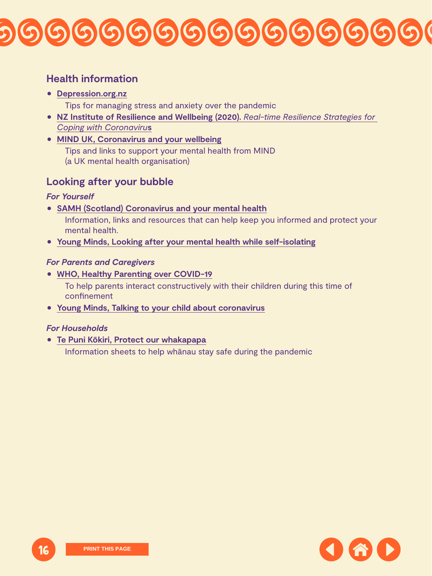## **Health information**

### 1 **[Depression.org.nz](https://www.depression.org.nz/covid-19)**

Tips for managing stress and anxiety over the pandemic

- 1 **[NZ Institute of Resilience and Wellbeing \(2020\).](https://www.mentalhealth.org.nz/assets/COVID-19/Real-time-Resilience-Strategies.pdf)** *[Real-time Resilience Strategies for](https://www.mentalhealth.org.nz/assets/COVID-19/Real-time-Resilience-Strategies.pdf)  [Coping with Coronaviru](https://www.mentalhealth.org.nz/assets/COVID-19/Real-time-Resilience-Strategies.pdf)***s**
- 1 **[MIND UK, Coronavirus and your wellbeing](https://www.mind.org.uk/information-support/coronavirus/coronavirus-and-your-wellbeing/)**

Tips and links to support your mental health from MIND (a UK mental health organisation)

**Looking after your bubble**

### *For Yourself*

1 **[SAMH \(Scotland\) Coronavirus and your mental health](https://www.samh.org.uk/about-mental-health/self-help-and-wellbeing/coronavirus-and-your-mental-wellbeing)**





Information, links and resources that can help keep you informed and protect your mental health.

1 **[Young Minds, Looking after your mental health while self-isolating](https://youngminds.org.uk/blog/looking-after-your-mental-health-while-self-isolating/)**

### *For Parents and Caregivers*

1 **[WHO, Healthy Parenting over COVID-19](https://www.who.int/emergencies/diseases/novel-coronavirus-2019/advice-for-public/healthy-parenting)**

To help parents interact constructively with their children during this time of confinement

1 **[Young Minds, Talking to your child about coronavirus](https://youngminds.org.uk/blog/talking-to-your-child-about-coronavirus/)**

*For Households*

1 **[Te Puni Kōkiri, Protect our whakapapa](https://www.tpk.govt.nz/en/a-matou-mohiotanga/covid-19/protect-our-whakapapa)**

Information sheets to help whānau stay safe during the pandemic